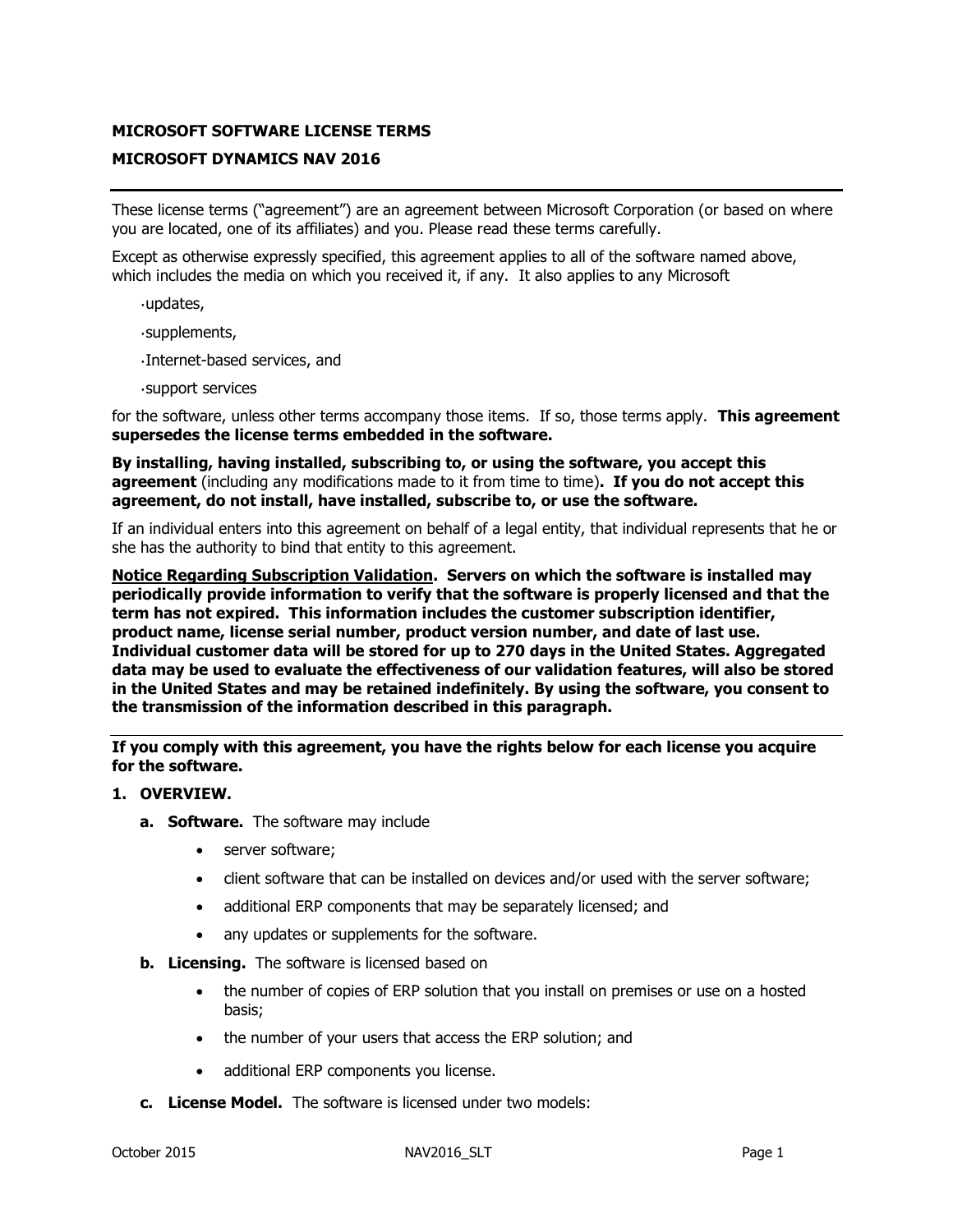#### **MICROSOFT SOFTWARE LICENSE TERMS**

#### **MICROSOFT DYNAMICS NAV 2016**

These license terms ("agreement") are an agreement between Microsoft Corporation (or based on where you are located, one of its affiliates) and you. Please read these terms carefully.

Except as otherwise expressly specified, this agreement applies to all of the software named above, which includes the media on which you received it, if any. It also applies to any Microsoft

updates,

supplements,

- Internet-based services, and
- support services

for the software, unless other terms accompany those items. If so, those terms apply. **This agreement supersedes the license terms embedded in the software.**

**By installing, having installed, subscribing to, or using the software, you accept this agreement** (including any modifications made to it from time to time)**. If you do not accept this agreement, do not install, have installed, subscribe to, or use the software.** 

If an individual enters into this agreement on behalf of a legal entity, that individual represents that he or she has the authority to bind that entity to this agreement.

**Notice Regarding Subscription Validation. Servers on which the software is installed may periodically provide information to verify that the software is properly licensed and that the term has not expired. This information includes the customer subscription identifier, product name, license serial number, product version number, and date of last use. Individual customer data will be stored for up to 270 days in the United States. Aggregated data may be used to evaluate the effectiveness of our validation features, will also be stored in the United States and may be retained indefinitely. By using the software, you consent to the transmission of the information described in this paragraph.**

**If you comply with this agreement, you have the rights below for each license you acquire for the software.**

#### **1. OVERVIEW.**

- **a. Software.** The software may include
	- server software;
	- client software that can be installed on devices and/or used with the server software;
	- additional ERP components that may be separately licensed; and
	- any updates or supplements for the software.
- **b.** Licensing. The software is licensed based on
	- the number of copies of ERP solution that you install on premises or use on a hosted basis;
	- the number of your users that access the ERP solution; and
	- additional ERP components you license.
- **c. License Model.** The software is licensed under two models: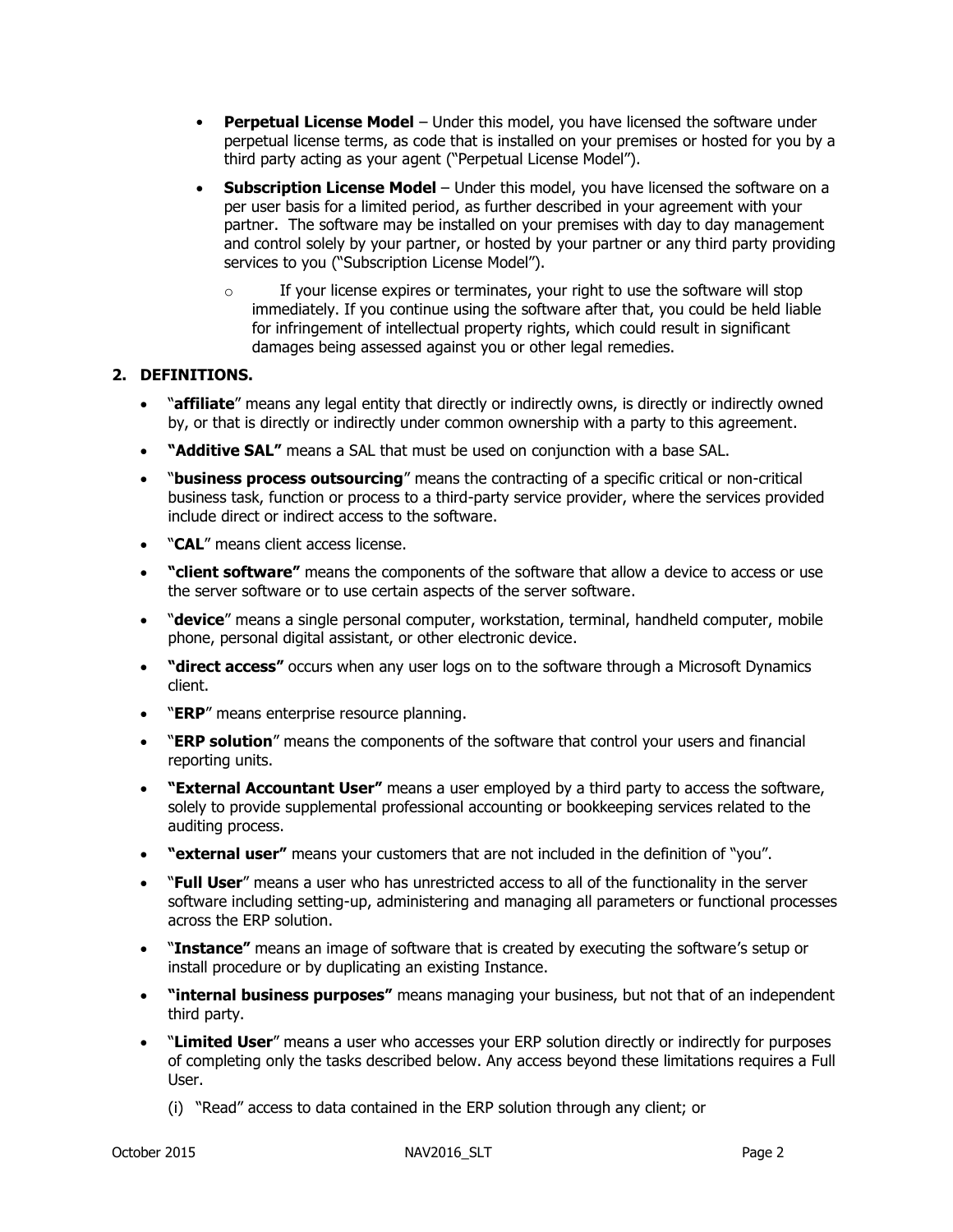- **Perpetual License Model** Under this model, you have licensed the software under perpetual license terms, as code that is installed on your premises or hosted for you by a third party acting as your agent ("Perpetual License Model").
- **Subscription License Model**  Under this model, you have licensed the software on a per user basis for a limited period, as further described in your agreement with your partner. The software may be installed on your premises with day to day management and control solely by your partner, or hosted by your partner or any third party providing services to you ("Subscription License Model").
	- $\circ$  If your license expires or terminates, your right to use the software will stop immediately. If you continue using the software after that, you could be held liable for infringement of intellectual property rights, which could result in significant damages being assessed against you or other legal remedies.

# **2. DEFINITIONS.**

- "affiliate" means any legal entity that directly or indirectly owns, is directly or indirectly owned by, or that is directly or indirectly under common ownership with a party to this agreement.
- **"Additive SAL"** means a SAL that must be used on conjunction with a base SAL.
- "**business process outsourcing**" means the contracting of a specific critical or non-critical business task, function or process to a third-party service provider, where the services provided include direct or indirect access to the software.
- "**CAL**" means client access license.
- **"client software"** means the components of the software that allow a device to access or use the server software or to use certain aspects of the server software.
- "**device**" means a single personal computer, workstation, terminal, handheld computer, mobile phone, personal digital assistant, or other electronic device.
- **"direct access"** occurs when any user logs on to the software through a Microsoft Dynamics client.
- **•** "**ERP**" means enterprise resource planning.
- "**ERP solution**" means the components of the software that control your users and financial reporting units.
- **"External Accountant User"** means a user employed by a third party to access the software, solely to provide supplemental professional accounting or bookkeeping services related to the auditing process.
- **"external user"** means your customers that are not included in the definition of "you".
- "**Full User**" means a user who has unrestricted access to all of the functionality in the server software including setting-up, administering and managing all parameters or functional processes across the ERP solution.
- "**Instance"** means an image of software that is created by executing the software's setup or install procedure or by duplicating an existing Instance.
- **"internal business purposes"** means managing your business, but not that of an independent third party.
- "**Limited User**" means a user who accesses your ERP solution directly or indirectly for purposes of completing only the tasks described below. Any access beyond these limitations requires a Full User.
	- (i) "Read" access to data contained in the ERP solution through any client; or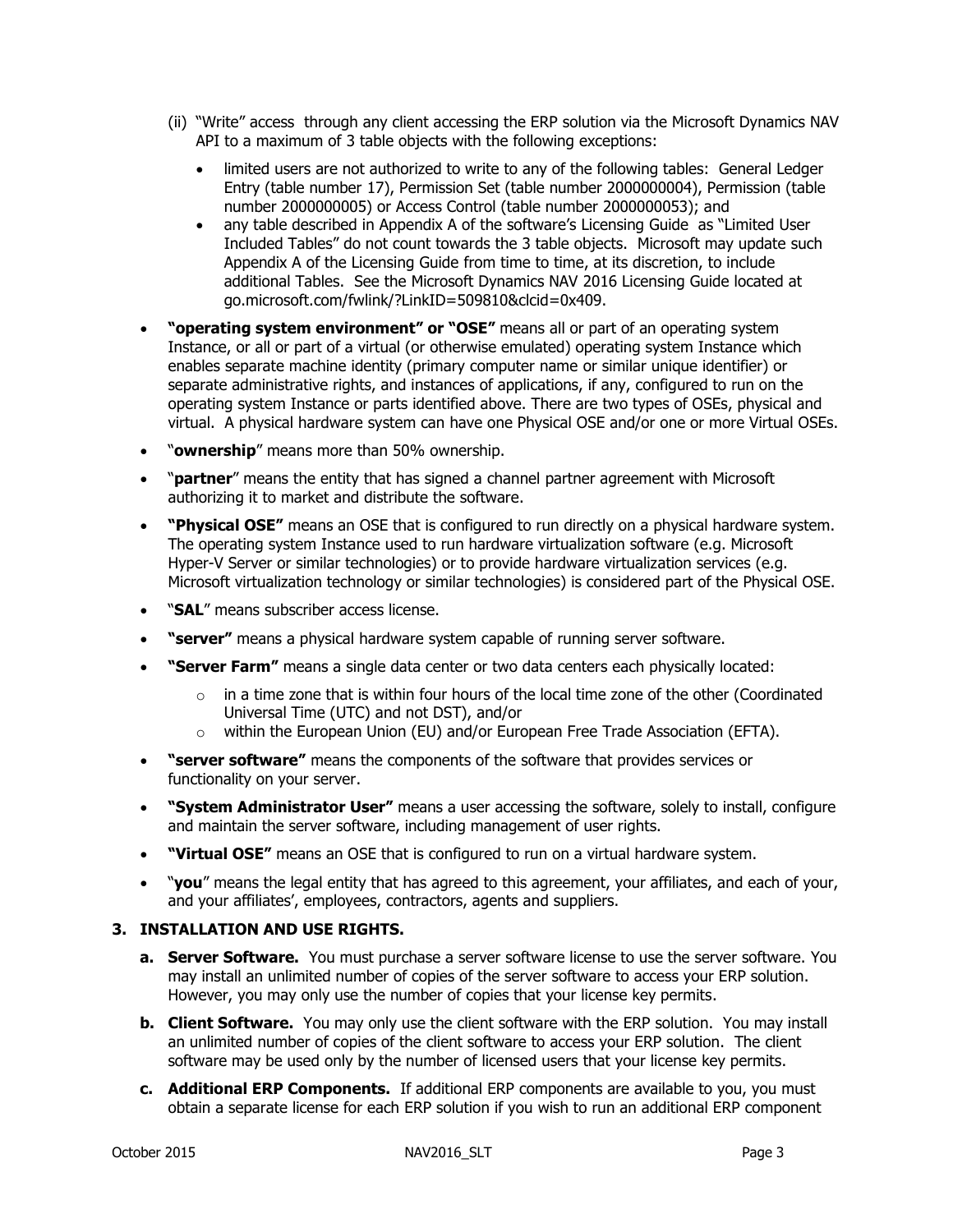- (ii) "Write" access through any client accessing the ERP solution via the Microsoft Dynamics NAV API to a maximum of 3 table objects with the following exceptions:
	- limited users are not authorized to write to any of the following tables: General Ledger Entry (table number 17), Permission Set (table number 2000000004), Permission (table number 2000000005) or Access Control (table number 2000000053); and
	- any table described in Appendix A of the software's Licensing Guide as "Limited User Included Tables" do not count towards the 3 table objects. Microsoft may update such Appendix A of the Licensing Guide from time to time, at its discretion, to include additional Tables. See the Microsoft Dynamics NAV 2016 Licensing Guide located at go.microsoft.com/fwlink/?LinkID=509810&clcid=0x409.
- **"operating system environment" or "OSE"** means all or part of an operating system Instance, or all or part of a virtual (or otherwise emulated) operating system Instance which enables separate machine identity (primary computer name or similar unique identifier) or separate administrative rights, and instances of applications, if any, configured to run on the operating system Instance or parts identified above. There are two types of OSEs, physical and virtual. A physical hardware system can have one Physical OSE and/or one or more Virtual OSEs.
- "**ownership**" means more than 50% ownership.
- "**partner**" means the entity that has signed a channel partner agreement with Microsoft authorizing it to market and distribute the software.
- **"Physical OSE"** means an OSE that is configured to run directly on a physical hardware system. The operating system Instance used to run hardware virtualization software (e.g. Microsoft Hyper-V Server or similar technologies) or to provide hardware virtualization services (e.g. Microsoft virtualization technology or similar technologies) is considered part of the Physical OSE.
- "**SAL**" means subscriber access license.
- **"server"** means a physical hardware system capable of running server software.
- **"Server Farm"** means a single data center or two data centers each physically located:
	- $\circ$  in a time zone that is within four hours of the local time zone of the other (Coordinated Universal Time (UTC) and not DST), and/or
	- $\circ$  within the European Union (EU) and/or European Free Trade Association (EFTA).
- **"server software"** means the components of the software that provides services or functionality on your server.
- **"System Administrator User"** means a user accessing the software, solely to install, configure and maintain the server software, including management of user rights.
- **"Virtual OSE"** means an OSE that is configured to run on a virtual hardware system.
- "**you**" means the legal entity that has agreed to this agreement, your affiliates, and each of your, and your affiliates', employees, contractors, agents and suppliers.

# **3. INSTALLATION AND USE RIGHTS.**

- **a. Server Software.** You must purchase a server software license to use the server software. You may install an unlimited number of copies of the server software to access your ERP solution. However, you may only use the number of copies that your license key permits.
- **b. Client Software.** You may only use the client software with the ERP solution. You may install an unlimited number of copies of the client software to access your ERP solution. The client software may be used only by the number of licensed users that your license key permits.
- **c. Additional ERP Components.** If additional ERP components are available to you, you must obtain a separate license for each ERP solution if you wish to run an additional ERP component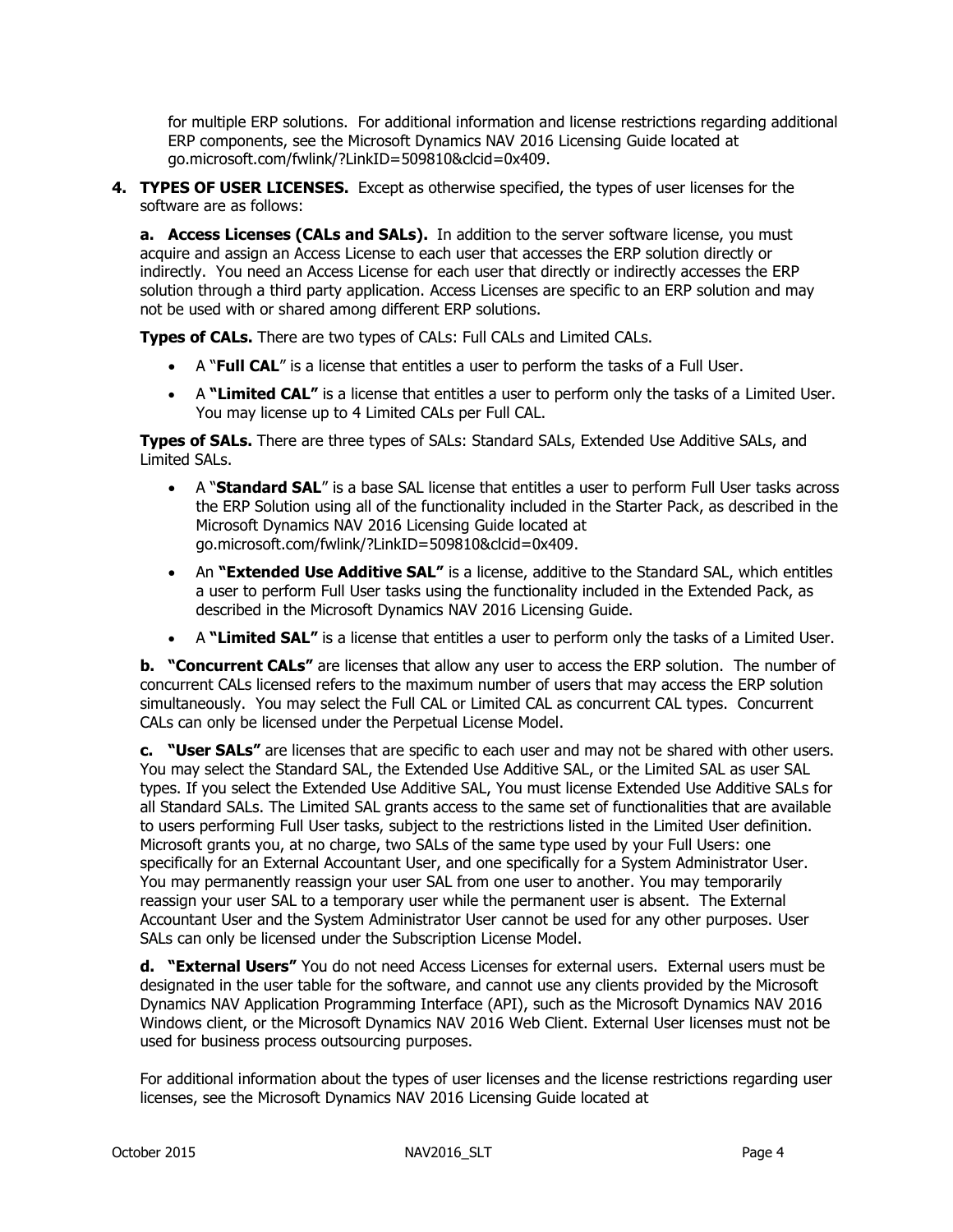for multiple ERP solutions. For additional information and license restrictions regarding additional ERP components, see the Microsoft Dynamics NAV 2016 Licensing Guide located at go.microsoft.com/fwlink/?LinkID=509810&clcid=0x409.

**4. TYPES OF USER LICENSES.** Except as otherwise specified, the types of user licenses for the software are as follows:

**a. Access Licenses (CALs and SALs).** In addition to the server software license, you must acquire and assign an Access License to each user that accesses the ERP solution directly or indirectly. You need an Access License for each user that directly or indirectly accesses the ERP solution through a third party application. Access Licenses are specific to an ERP solution and may not be used with or shared among different ERP solutions.

**Types of CALs.** There are two types of CALs: Full CALs and Limited CALs.

- A "**Full CAL**" is a license that entitles a user to perform the tasks of a Full User.
- A **"Limited CAL"** is a license that entitles a user to perform only the tasks of a Limited User. You may license up to 4 Limited CALs per Full CAL.

**Types of SALs.** There are three types of SALs: Standard SALs, Extended Use Additive SALs, and Limited SALs.

- A "**Standard SAL**" is a base SAL license that entitles a user to perform Full User tasks across the ERP Solution using all of the functionality included in the Starter Pack, as described in the Microsoft Dynamics NAV 2016 Licensing Guide located at go.microsoft.com/fwlink/?LinkID=509810&clcid=0x409.
- An **"Extended Use Additive SAL"** is a license, additive to the Standard SAL, which entitles a user to perform Full User tasks using the functionality included in the Extended Pack, as described in the Microsoft Dynamics NAV 2016 Licensing Guide.
- A **"Limited SAL"** is a license that entitles a user to perform only the tasks of a Limited User.

**b. "Concurrent CALs"** are licenses that allow any user to access the ERP solution. The number of concurrent CALs licensed refers to the maximum number of users that may access the ERP solution simultaneously. You may select the Full CAL or Limited CAL as concurrent CAL types. Concurrent CALs can only be licensed under the Perpetual License Model.

**c. "User SALs"** are licenses that are specific to each user and may not be shared with other users. You may select the Standard SAL, the Extended Use Additive SAL, or the Limited SAL as user SAL types. If you select the Extended Use Additive SAL, You must license Extended Use Additive SALs for all Standard SALs. The Limited SAL grants access to the same set of functionalities that are available to users performing Full User tasks, subject to the restrictions listed in the Limited User definition. Microsoft grants you, at no charge, two SALs of the same type used by your Full Users: one specifically for an External Accountant User, and one specifically for a System Administrator User. You may permanently reassign your user SAL from one user to another. You may temporarily reassign your user SAL to a temporary user while the permanent user is absent. The External Accountant User and the System Administrator User cannot be used for any other purposes. User SALs can only be licensed under the Subscription License Model.

**d. "External Users"** You do not need Access Licenses for external users. External users must be designated in the user table for the software, and cannot use any clients provided by the Microsoft Dynamics NAV Application Programming Interface (API), such as the Microsoft Dynamics NAV 2016 Windows client, or the Microsoft Dynamics NAV 2016 Web Client. External User licenses must not be used for business process outsourcing purposes.

For additional information about the types of user licenses and the license restrictions regarding user licenses, see the Microsoft Dynamics NAV 2016 Licensing Guide located at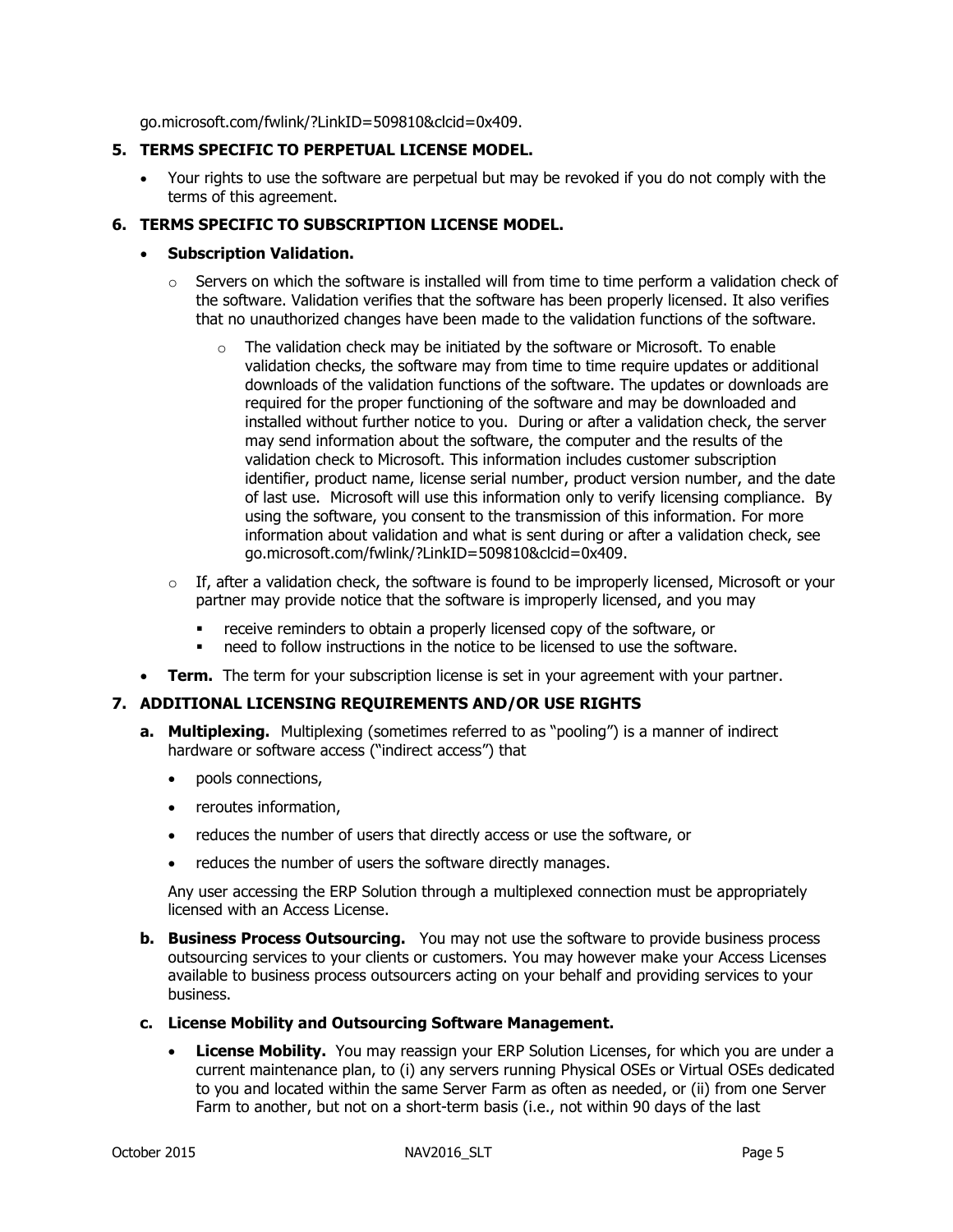go.microsoft.com/fwlink/?LinkID=509810&clcid=0x409.

### **5. TERMS SPECIFIC TO PERPETUAL LICENSE MODEL.**

 Your rights to use the software are perpetual but may be revoked if you do not comply with the terms of this agreement.

# **6. TERMS SPECIFIC TO SUBSCRIPTION LICENSE MODEL.**

## **Subscription Validation.**

- o Servers on which the software is installed will from time to time perform a validation check of the software. Validation verifies that the software has been properly licensed. It also verifies that no unauthorized changes have been made to the validation functions of the software.
	- $\circ$  The validation check may be initiated by the software or Microsoft. To enable validation checks, the software may from time to time require updates or additional downloads of the validation functions of the software. The updates or downloads are required for the proper functioning of the software and may be downloaded and installed without further notice to you. During or after a validation check, the server may send information about the software, the computer and the results of the validation check to Microsoft. This information includes customer subscription identifier, product name, license serial number, product version number, and the date of last use. Microsoft will use this information only to verify licensing compliance. By using the software, you consent to the transmission of this information. For more information about validation and what is sent during or after a validation check, see go.microsoft.com/fwlink/?LinkID=509810&clcid=0x409.
- $\circ$  If, after a validation check, the software is found to be improperly licensed, Microsoft or your partner may provide notice that the software is improperly licensed, and you may
	- **•** receive reminders to obtain a properly licensed copy of the software, or
	- need to follow instructions in the notice to be licensed to use the software.
- **Term.** The term for your subscription license is set in your agreement with your partner.

# **7. ADDITIONAL LICENSING REQUIREMENTS AND/OR USE RIGHTS**

- **a. Multiplexing.** Multiplexing (sometimes referred to as "pooling") is a manner of indirect hardware or software access ("indirect access") that
	- pools connections,
	- reroutes information,
	- reduces the number of users that directly access or use the software, or
	- reduces the number of users the software directly manages.

Any user accessing the ERP Solution through a multiplexed connection must be appropriately licensed with an Access License.

- **b. Business Process Outsourcing.** You may not use the software to provide business process outsourcing services to your clients or customers. You may however make your Access Licenses available to business process outsourcers acting on your behalf and providing services to your business.
- **c. License Mobility and Outsourcing Software Management.** 
	- **License Mobility.** You may reassign your ERP Solution Licenses, for which you are under a current maintenance plan, to (i) any servers running Physical OSEs or Virtual OSEs dedicated to you and located within the same Server Farm as often as needed, or (ii) from one Server Farm to another, but not on a short-term basis (i.e., not within 90 days of the last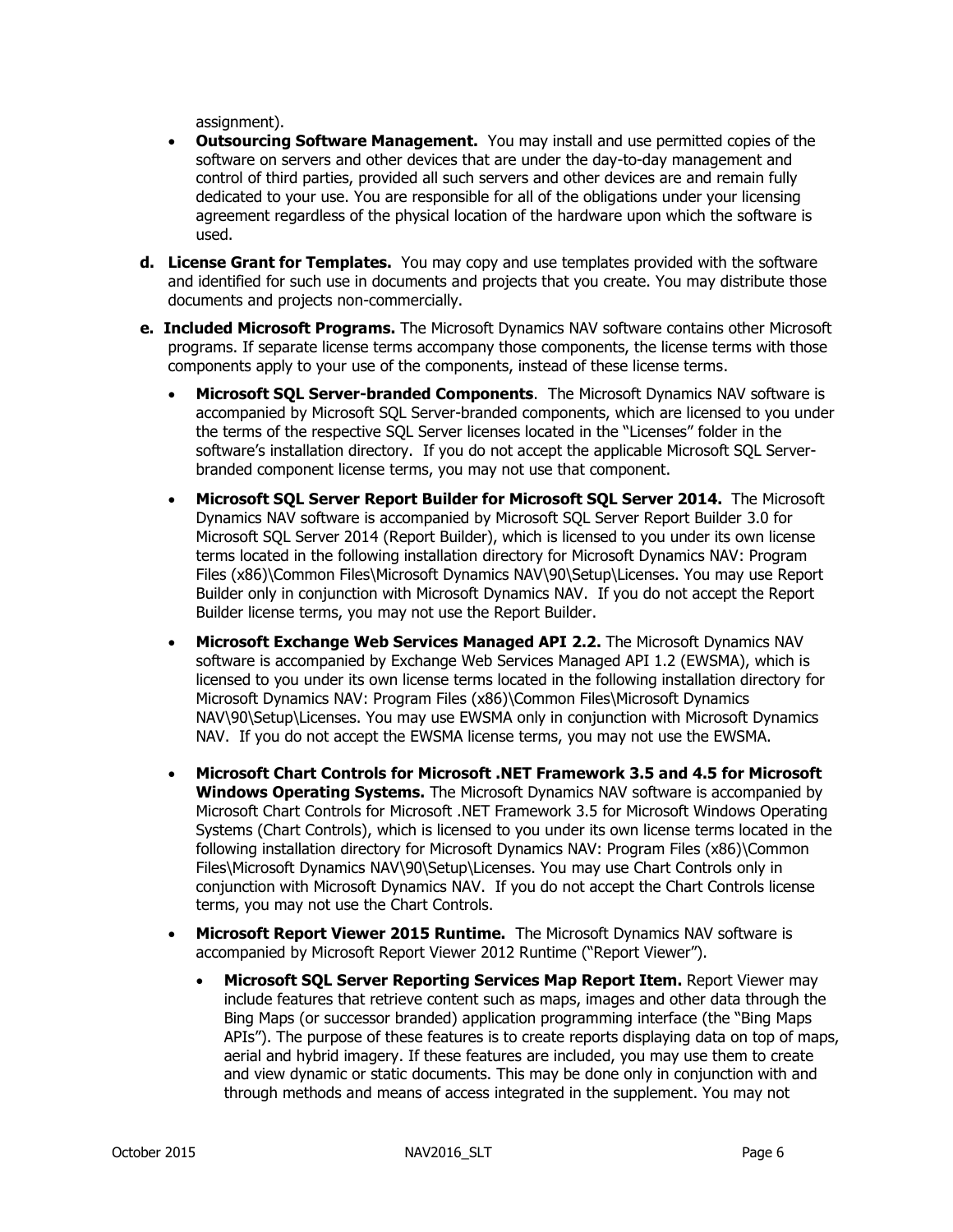assignment).

- **Outsourcing Software Management.** You may install and use permitted copies of the software on servers and other devices that are under the day-to-day management and control of third parties, provided all such servers and other devices are and remain fully dedicated to your use. You are responsible for all of the obligations under your licensing agreement regardless of the physical location of the hardware upon which the software is used.
- **d. License Grant for Templates.** You may copy and use templates provided with the software and identified for such use in documents and projects that you create. You may distribute those documents and projects non-commercially.
- **e. Included Microsoft Programs.** The Microsoft Dynamics NAV software contains other Microsoft programs. If separate license terms accompany those components, the license terms with those components apply to your use of the components, instead of these license terms.
	- **Microsoft SQL Server-branded Components**. The Microsoft Dynamics NAV software is accompanied by Microsoft SQL Server-branded components, which are licensed to you under the terms of the respective SQL Server licenses located in the "Licenses" folder in the software's installation directory. If you do not accept the applicable Microsoft SQL Serverbranded component license terms, you may not use that component.
	- **Microsoft SQL Server Report Builder for Microsoft SQL Server 2014.** The Microsoft Dynamics NAV software is accompanied by Microsoft SQL Server Report Builder 3.0 for Microsoft SQL Server 2014 (Report Builder), which is licensed to you under its own license terms located in the following installation directory for Microsoft Dynamics NAV: Program Files (x86)\Common Files\Microsoft Dynamics NAV\90\Setup\Licenses. You may use Report Builder only in conjunction with Microsoft Dynamics NAV. If you do not accept the Report Builder license terms, you may not use the Report Builder.
	- **Microsoft Exchange Web Services Managed API 2.2.** The Microsoft Dynamics NAV software is accompanied by Exchange Web Services Managed API 1.2 (EWSMA), which is licensed to you under its own license terms located in the following installation directory for Microsoft Dynamics NAV: Program Files (x86)\Common Files\Microsoft Dynamics NAV\90\Setup\Licenses. You may use EWSMA only in conjunction with Microsoft Dynamics NAV. If you do not accept the EWSMA license terms, you may not use the EWSMA.
	- **Microsoft Chart Controls for Microsoft .NET Framework 3.5 and 4.5 for Microsoft Windows Operating Systems.** The Microsoft Dynamics NAV software is accompanied by Microsoft Chart Controls for Microsoft .NET Framework 3.5 for Microsoft Windows Operating Systems (Chart Controls), which is licensed to you under its own license terms located in the following installation directory for Microsoft Dynamics NAV: Program Files (x86)\Common Files\Microsoft Dynamics NAV\90\Setup\Licenses. You may use Chart Controls only in conjunction with Microsoft Dynamics NAV. If you do not accept the Chart Controls license terms, you may not use the Chart Controls.
	- **Microsoft Report Viewer 2015 Runtime.** The Microsoft Dynamics NAV software is accompanied by Microsoft Report Viewer 2012 Runtime ("Report Viewer").
		- **Microsoft SQL Server Reporting Services Map Report Item.** Report Viewer may include features that retrieve content such as maps, images and other data through the Bing Maps (or successor branded) application programming interface (the "Bing Maps APIs"). The purpose of these features is to create reports displaying data on top of maps, aerial and hybrid imagery. If these features are included, you may use them to create and view dynamic or static documents. This may be done only in conjunction with and through methods and means of access integrated in the supplement. You may not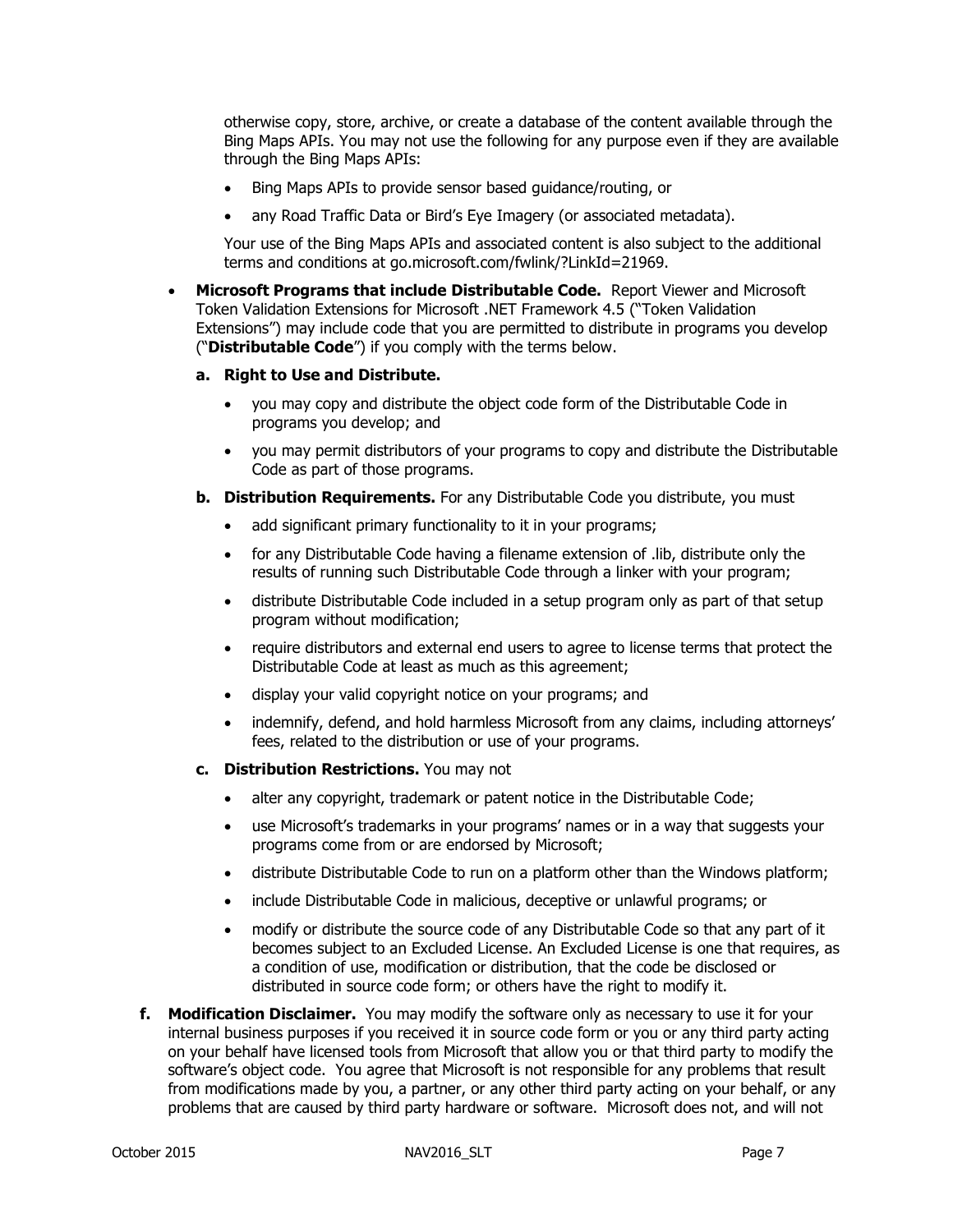otherwise copy, store, archive, or create a database of the content available through the Bing Maps APIs. You may not use the following for any purpose even if they are available through the Bing Maps APIs:

- Bing Maps APIs to provide sensor based guidance/routing, or
- any Road Traffic Data or Bird's Eye Imagery (or associated metadata).

Your use of the Bing Maps APIs and associated content is also subject to the additional terms and conditions at go.microsoft.com/fwlink/?LinkId=21969.

- **Microsoft Programs that include Distributable Code.** Report Viewer and Microsoft Token Validation Extensions for Microsoft .NET Framework 4.5 ("Token Validation Extensions") may include code that you are permitted to distribute in programs you develop ("**Distributable Code**") if you comply with the terms below.
	- **a. Right to Use and Distribute.**
		- you may copy and distribute the object code form of the Distributable Code in programs you develop; and
		- you may permit distributors of your programs to copy and distribute the Distributable Code as part of those programs.
	- **b. Distribution Requirements.** For any Distributable Code you distribute, you must
		- add significant primary functionality to it in your programs;
		- for any Distributable Code having a filename extension of .lib, distribute only the results of running such Distributable Code through a linker with your program;
		- distribute Distributable Code included in a setup program only as part of that setup program without modification;
		- require distributors and external end users to agree to license terms that protect the Distributable Code at least as much as this agreement;
		- display your valid copyright notice on your programs; and
		- indemnify, defend, and hold harmless Microsoft from any claims, including attorneys' fees, related to the distribution or use of your programs.
	- **c. Distribution Restrictions.** You may not
		- alter any copyright, trademark or patent notice in the Distributable Code;
		- use Microsoft's trademarks in your programs' names or in a way that suggests your programs come from or are endorsed by Microsoft;
		- distribute Distributable Code to run on a platform other than the Windows platform;
		- include Distributable Code in malicious, deceptive or unlawful programs; or
		- modify or distribute the source code of any Distributable Code so that any part of it becomes subject to an Excluded License. An Excluded License is one that requires, as a condition of use, modification or distribution, that the code be disclosed or distributed in source code form; or others have the right to modify it.
- **f. Modification Disclaimer.** You may modify the software only as necessary to use it for your internal business purposes if you received it in source code form or you or any third party acting on your behalf have licensed tools from Microsoft that allow you or that third party to modify the software's object code. You agree that Microsoft is not responsible for any problems that result from modifications made by you, a partner, or any other third party acting on your behalf, or any problems that are caused by third party hardware or software. Microsoft does not, and will not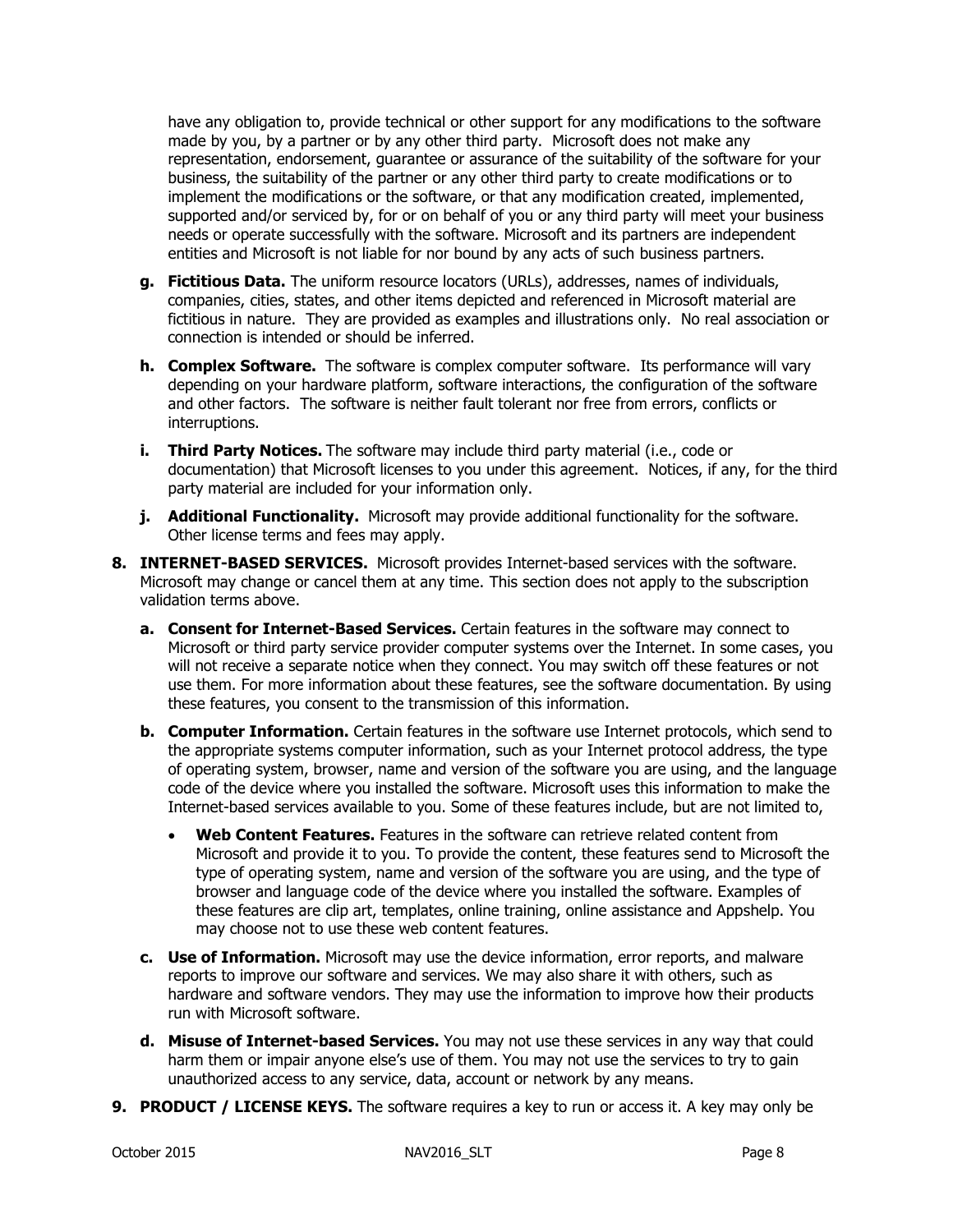have any obligation to, provide technical or other support for any modifications to the software made by you, by a partner or by any other third party. Microsoft does not make any representation, endorsement, guarantee or assurance of the suitability of the software for your business, the suitability of the partner or any other third party to create modifications or to implement the modifications or the software, or that any modification created, implemented, supported and/or serviced by, for or on behalf of you or any third party will meet your business needs or operate successfully with the software. Microsoft and its partners are independent entities and Microsoft is not liable for nor bound by any acts of such business partners.

- **g. Fictitious Data.** The uniform resource locators (URLs), addresses, names of individuals, companies, cities, states, and other items depicted and referenced in Microsoft material are fictitious in nature. They are provided as examples and illustrations only. No real association or connection is intended or should be inferred.
- **h. Complex Software.** The software is complex computer software. Its performance will vary depending on your hardware platform, software interactions, the configuration of the software and other factors. The software is neither fault tolerant nor free from errors, conflicts or interruptions.
- **i. Third Party Notices.** The software may include third party material (i.e., code or documentation) that Microsoft licenses to you under this agreement. Notices, if any, for the third party material are included for your information only.
- **j.** Additional Functionality. Microsoft may provide additional functionality for the software. Other license terms and fees may apply.
- **8. INTERNET-BASED SERVICES.** Microsoft provides Internet-based services with the software. Microsoft may change or cancel them at any time. This section does not apply to the subscription validation terms above.
	- **a. Consent for Internet-Based Services.** Certain features in the software may connect to Microsoft or third party service provider computer systems over the Internet. In some cases, you will not receive a separate notice when they connect. You may switch off these features or not use them. For more information about these features, see the software documentation. By using these features, you consent to the transmission of this information.
	- **b. Computer Information.** Certain features in the software use Internet protocols, which send to the appropriate systems computer information, such as your Internet protocol address, the type of operating system, browser, name and version of the software you are using, and the language code of the device where you installed the software. Microsoft uses this information to make the Internet-based services available to you. Some of these features include, but are not limited to,
		- **Web Content Features.** Features in the software can retrieve related content from Microsoft and provide it to you. To provide the content, these features send to Microsoft the type of operating system, name and version of the software you are using, and the type of browser and language code of the device where you installed the software. Examples of these features are clip art, templates, online training, online assistance and Appshelp. You may choose not to use these web content features.
	- **c. Use of Information.** Microsoft may use the device information, error reports, and malware reports to improve our software and services. We may also share it with others, such as hardware and software vendors. They may use the information to improve how their products run with Microsoft software.
	- **d. Misuse of Internet-based Services.** You may not use these services in any way that could harm them or impair anyone else's use of them. You may not use the services to try to gain unauthorized access to any service, data, account or network by any means.
- **9. PRODUCT / LICENSE KEYS.** The software requires a key to run or access it. A key may only be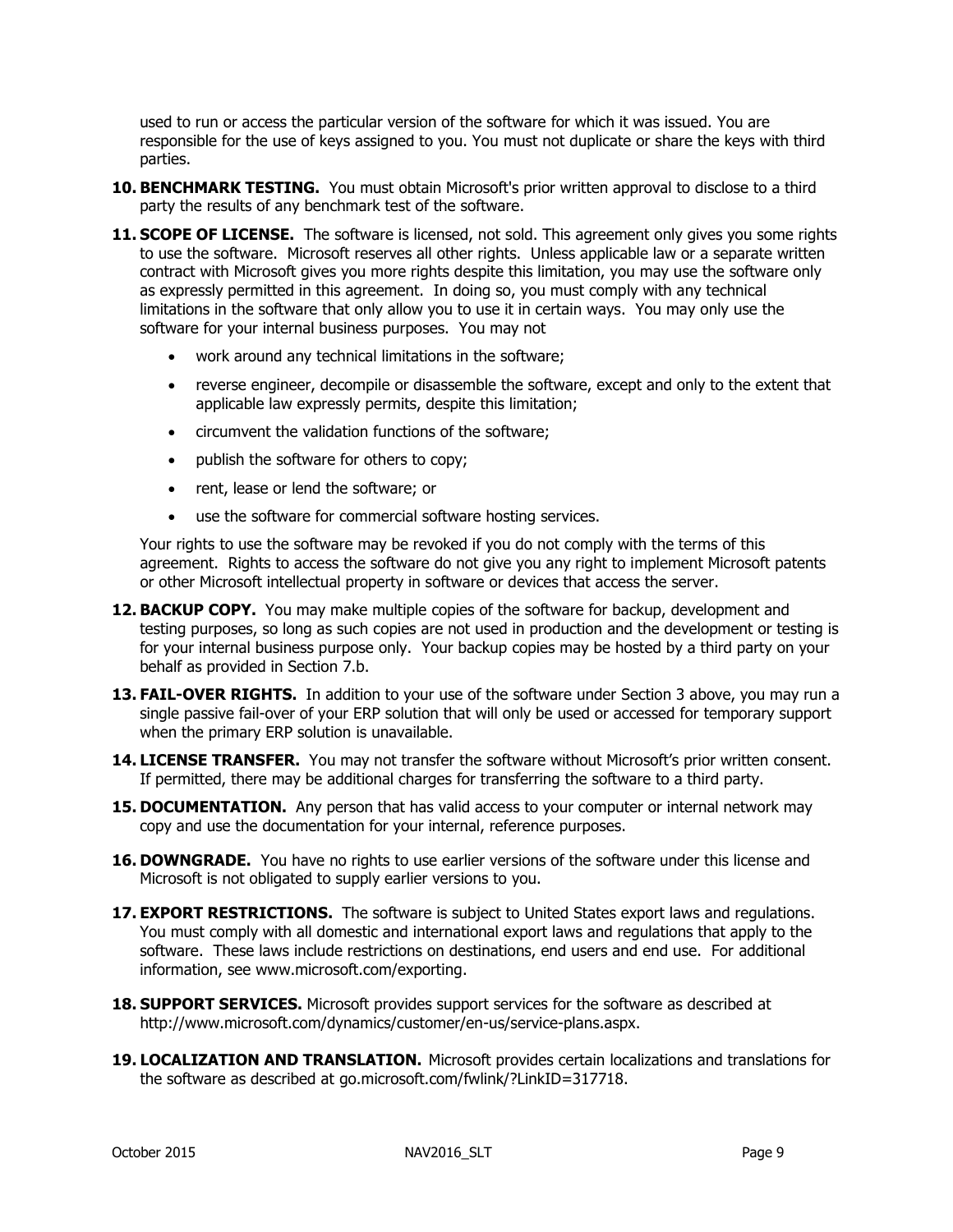used to run or access the particular version of the software for which it was issued. You are responsible for the use of keys assigned to you. You must not duplicate or share the keys with third parties.

- **10. BENCHMARK TESTING.** You must obtain Microsoft's prior written approval to disclose to a third party the results of any benchmark test of the software.
- **11. SCOPE OF LICENSE.** The software is licensed, not sold. This agreement only gives you some rights to use the software. Microsoft reserves all other rights. Unless applicable law or a separate written contract with Microsoft gives you more rights despite this limitation, you may use the software only as expressly permitted in this agreement. In doing so, you must comply with any technical limitations in the software that only allow you to use it in certain ways. You may only use the software for your internal business purposes. You may not
	- work around any technical limitations in the software;
	- reverse engineer, decompile or disassemble the software, except and only to the extent that applicable law expressly permits, despite this limitation;
	- circumvent the validation functions of the software;
	- publish the software for others to copy;
	- rent, lease or lend the software; or
	- use the software for commercial software hosting services.

Your rights to use the software may be revoked if you do not comply with the terms of this agreement. Rights to access the software do not give you any right to implement Microsoft patents or other Microsoft intellectual property in software or devices that access the server.

- **12. BACKUP COPY.** You may make multiple copies of the software for backup, development and testing purposes, so long as such copies are not used in production and the development or testing is for your internal business purpose only. Your backup copies may be hosted by a third party on your behalf as provided in Section 7.b.
- **13. FAIL-OVER RIGHTS.** In addition to your use of the software under Section 3 above, you may run a single passive fail-over of your ERP solution that will only be used or accessed for temporary support when the primary ERP solution is unavailable.
- **14. LICENSE TRANSFER.** You may not transfer the software without Microsoft's prior written consent. If permitted, there may be additional charges for transferring the software to a third party.
- **15. DOCUMENTATION.** Any person that has valid access to your computer or internal network may copy and use the documentation for your internal, reference purposes.
- **16. DOWNGRADE.** You have no rights to use earlier versions of the software under this license and Microsoft is not obligated to supply earlier versions to you.
- **17. EXPORT RESTRICTIONS.** The software is subject to United States export laws and regulations. You must comply with all domestic and international export laws and regulations that apply to the software. These laws include restrictions on destinations, end users and end use. For additional information, see www.microsoft.com/exporting.
- **18. SUPPORT SERVICES.** Microsoft provides support services for the software as described at http://www.microsoft.com/dynamics/customer/en-us/service-plans.aspx.
- **19. LOCALIZATION AND TRANSLATION.** Microsoft provides certain localizations and translations for the software as described at go.microsoft.com/fwlink/?LinkID=317718.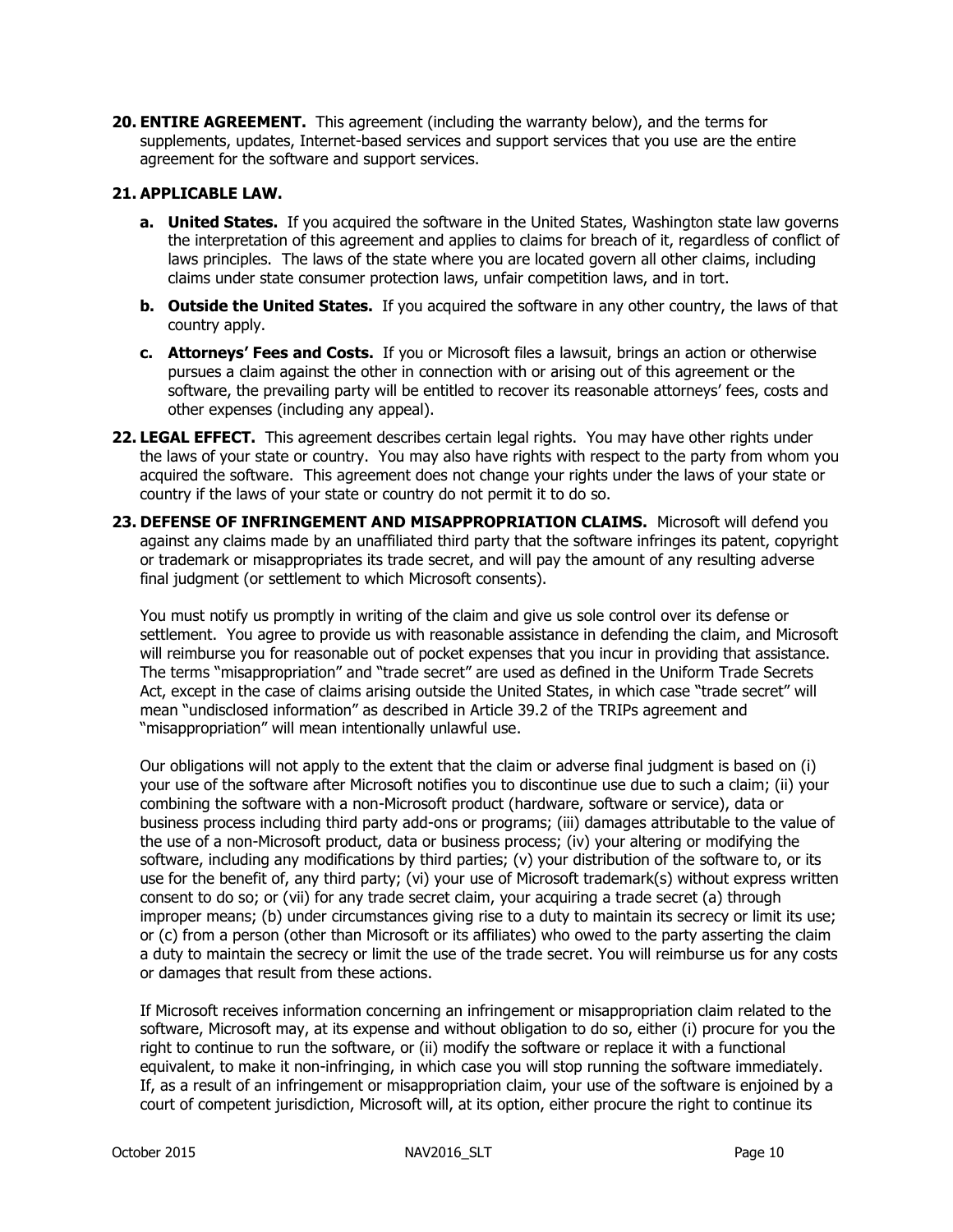**20. ENTIRE AGREEMENT.** This agreement (including the warranty below), and the terms for supplements, updates, Internet-based services and support services that you use are the entire agreement for the software and support services.

## **21. APPLICABLE LAW.**

- **a. United States.** If you acquired the software in the United States, Washington state law governs the interpretation of this agreement and applies to claims for breach of it, regardless of conflict of laws principles. The laws of the state where you are located govern all other claims, including claims under state consumer protection laws, unfair competition laws, and in tort.
- **b. Outside the United States.** If you acquired the software in any other country, the laws of that country apply.
- **c. Attorneys' Fees and Costs.** If you or Microsoft files a lawsuit, brings an action or otherwise pursues a claim against the other in connection with or arising out of this agreement or the software, the prevailing party will be entitled to recover its reasonable attorneys' fees, costs and other expenses (including any appeal).
- **22. LEGAL EFFECT.** This agreement describes certain legal rights. You may have other rights under the laws of your state or country. You may also have rights with respect to the party from whom you acquired the software. This agreement does not change your rights under the laws of your state or country if the laws of your state or country do not permit it to do so.
- **23. DEFENSE OF INFRINGEMENT AND MISAPPROPRIATION CLAIMS.** Microsoft will defend you against any claims made by an unaffiliated third party that the software infringes its patent, copyright or trademark or misappropriates its trade secret, and will pay the amount of any resulting adverse final judgment (or settlement to which Microsoft consents).

You must notify us promptly in writing of the claim and give us sole control over its defense or settlement. You agree to provide us with reasonable assistance in defending the claim, and Microsoft will reimburse you for reasonable out of pocket expenses that you incur in providing that assistance. The terms "misappropriation" and "trade secret" are used as defined in the Uniform Trade Secrets Act, except in the case of claims arising outside the United States, in which case "trade secret" will mean "undisclosed information" as described in Article 39.2 of the TRIPs agreement and "misappropriation" will mean intentionally unlawful use.

Our obligations will not apply to the extent that the claim or adverse final judgment is based on (i) your use of the software after Microsoft notifies you to discontinue use due to such a claim; (ii) your combining the software with a non-Microsoft product (hardware, software or service), data or business process including third party add-ons or programs; (iii) damages attributable to the value of the use of a non-Microsoft product, data or business process; (iv) your altering or modifying the software, including any modifications by third parties; (v) your distribution of the software to, or its use for the benefit of, any third party; (vi) your use of Microsoft trademark(s) without express written consent to do so; or (vii) for any trade secret claim, your acquiring a trade secret (a) through improper means; (b) under circumstances giving rise to a duty to maintain its secrecy or limit its use; or (c) from a person (other than Microsoft or its affiliates) who owed to the party asserting the claim a duty to maintain the secrecy or limit the use of the trade secret. You will reimburse us for any costs or damages that result from these actions.

If Microsoft receives information concerning an infringement or misappropriation claim related to the software, Microsoft may, at its expense and without obligation to do so, either (i) procure for you the right to continue to run the software, or (ii) modify the software or replace it with a functional equivalent, to make it non-infringing, in which case you will stop running the software immediately. If, as a result of an infringement or misappropriation claim, your use of the software is enjoined by a court of competent jurisdiction, Microsoft will, at its option, either procure the right to continue its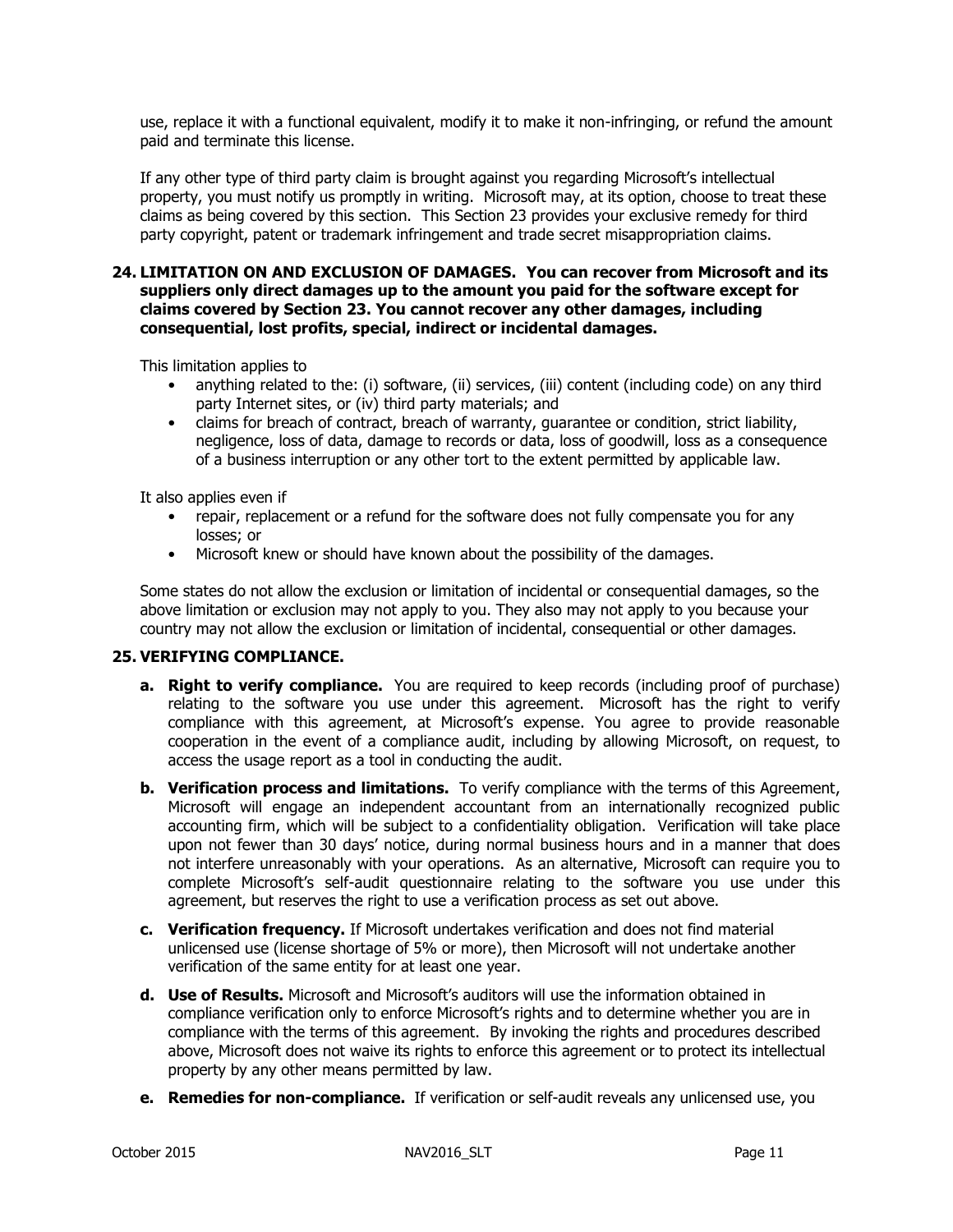use, replace it with a functional equivalent, modify it to make it non-infringing, or refund the amount paid and terminate this license.

If any other type of third party claim is brought against you regarding Microsoft's intellectual property, you must notify us promptly in writing. Microsoft may, at its option, choose to treat these claims as being covered by this section. This Section 23 provides your exclusive remedy for third party copyright, patent or trademark infringement and trade secret misappropriation claims.

#### **24. LIMITATION ON AND EXCLUSION OF DAMAGES. You can recover from Microsoft and its suppliers only direct damages up to the amount you paid for the software except for claims covered by Section 23. You cannot recover any other damages, including consequential, lost profits, special, indirect or incidental damages.**

This limitation applies to

- anything related to the: (i) software, (ii) services, (iii) content (including code) on any third party Internet sites, or (iv) third party materials; and
- claims for breach of contract, breach of warranty, guarantee or condition, strict liability, negligence, loss of data, damage to records or data, loss of goodwill, loss as a consequence of a business interruption or any other tort to the extent permitted by applicable law.

It also applies even if

- repair, replacement or a refund for the software does not fully compensate you for any losses; or
- Microsoft knew or should have known about the possibility of the damages.

Some states do not allow the exclusion or limitation of incidental or consequential damages, so the above limitation or exclusion may not apply to you. They also may not apply to you because your country may not allow the exclusion or limitation of incidental, consequential or other damages.

### **25. VERIFYING COMPLIANCE.**

- **a. Right to verify compliance.** You are required to keep records (including proof of purchase) relating to the software you use under this agreement. Microsoft has the right to verify compliance with this agreement, at Microsoft's expense. You agree to provide reasonable cooperation in the event of a compliance audit, including by allowing Microsoft, on request, to access the usage report as a tool in conducting the audit.
- **b. Verification process and limitations.** To verify compliance with the terms of this Agreement, Microsoft will engage an independent accountant from an internationally recognized public accounting firm, which will be subject to a confidentiality obligation. Verification will take place upon not fewer than 30 days' notice, during normal business hours and in a manner that does not interfere unreasonably with your operations. As an alternative, Microsoft can require you to complete Microsoft's self-audit questionnaire relating to the software you use under this agreement, but reserves the right to use a verification process as set out above.
- **c. Verification frequency.** If Microsoft undertakes verification and does not find material unlicensed use (license shortage of 5% or more), then Microsoft will not undertake another verification of the same entity for at least one year.
- **d. Use of Results.** Microsoft and Microsoft's auditors will use the information obtained in compliance verification only to enforce Microsoft's rights and to determine whether you are in compliance with the terms of this agreement. By invoking the rights and procedures described above, Microsoft does not waive its rights to enforce this agreement or to protect its intellectual property by any other means permitted by law.
- **e. Remedies for non-compliance.** If verification or self-audit reveals any unlicensed use, you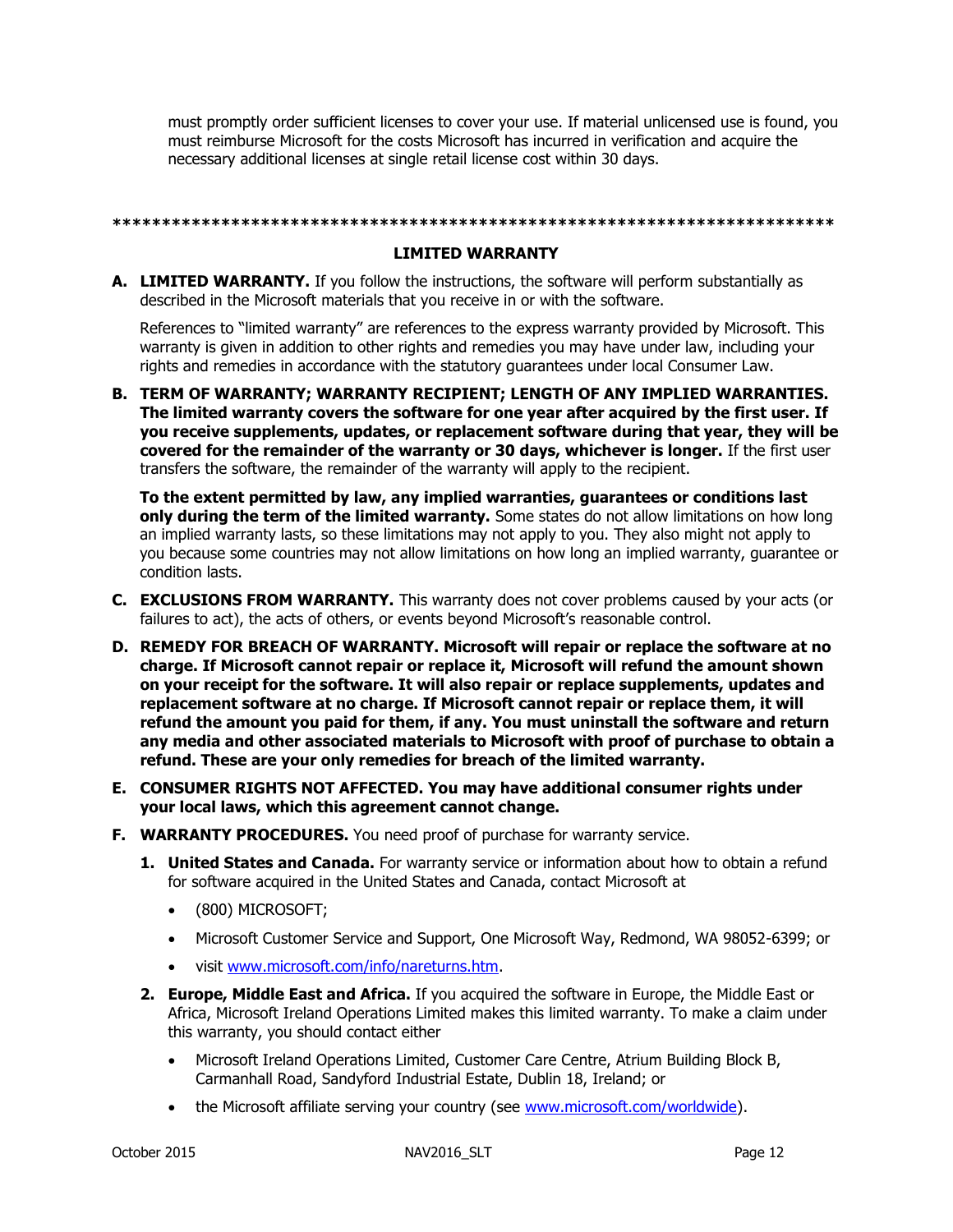must promptly order sufficient licenses to cover your use. If material unlicensed use is found, you must reimburse Microsoft for the costs Microsoft has incurred in verification and acquire the necessary additional licenses at single retail license cost within 30 days.

#### **\*\*\*\*\*\*\*\*\*\*\*\*\*\*\*\*\*\*\*\*\*\*\*\*\*\*\*\*\*\*\*\*\*\*\*\*\*\*\*\*\*\*\*\*\*\*\*\*\*\*\*\*\*\*\*\*\*\*\*\*\*\*\*\*\*\*\*\*\*\*\*\*\***

#### **LIMITED WARRANTY**

**A. LIMITED WARRANTY.** If you follow the instructions, the software will perform substantially as described in the Microsoft materials that you receive in or with the software.

References to "limited warranty" are references to the express warranty provided by Microsoft. This warranty is given in addition to other rights and remedies you may have under law, including your rights and remedies in accordance with the statutory guarantees under local Consumer Law.

**B. TERM OF WARRANTY; WARRANTY RECIPIENT; LENGTH OF ANY IMPLIED WARRANTIES. The limited warranty covers the software for one year after acquired by the first user. If you receive supplements, updates, or replacement software during that year, they will be covered for the remainder of the warranty or 30 days, whichever is longer.** If the first user transfers the software, the remainder of the warranty will apply to the recipient.

**To the extent permitted by law, any implied warranties, guarantees or conditions last only during the term of the limited warranty.** Some states do not allow limitations on how long an implied warranty lasts, so these limitations may not apply to you. They also might not apply to you because some countries may not allow limitations on how long an implied warranty, guarantee or condition lasts.

- **C. EXCLUSIONS FROM WARRANTY.** This warranty does not cover problems caused by your acts (or failures to act), the acts of others, or events beyond Microsoft's reasonable control.
- **D. REMEDY FOR BREACH OF WARRANTY. Microsoft will repair or replace the software at no charge. If Microsoft cannot repair or replace it, Microsoft will refund the amount shown on your receipt for the software. It will also repair or replace supplements, updates and replacement software at no charge. If Microsoft cannot repair or replace them, it will refund the amount you paid for them, if any. You must uninstall the software and return any media and other associated materials to Microsoft with proof of purchase to obtain a refund. These are your only remedies for breach of the limited warranty.**
- **E. CONSUMER RIGHTS NOT AFFECTED. You may have additional consumer rights under your local laws, which this agreement cannot change.**
- **F. WARRANTY PROCEDURES.** You need proof of purchase for warranty service.
	- **1. United States and Canada.** For warranty service or information about how to obtain a refund for software acquired in the United States and Canada, contact Microsoft at
		- (800) MICROSOFT;
		- Microsoft Customer Service and Support, One Microsoft Way, Redmond, WA 98052-6399; or
		- visit www.microsoft.com/info/nareturns.htm.
	- **2. Europe, Middle East and Africa.** If you acquired the software in Europe, the Middle East or Africa, Microsoft Ireland Operations Limited makes this limited warranty. To make a claim under this warranty, you should contact either
		- Microsoft Ireland Operations Limited, Customer Care Centre, Atrium Building Block B, Carmanhall Road, Sandyford Industrial Estate, Dublin 18, Ireland; or
		- the Microsoft affiliate serving your country (see www.microsoft.com/worldwide).